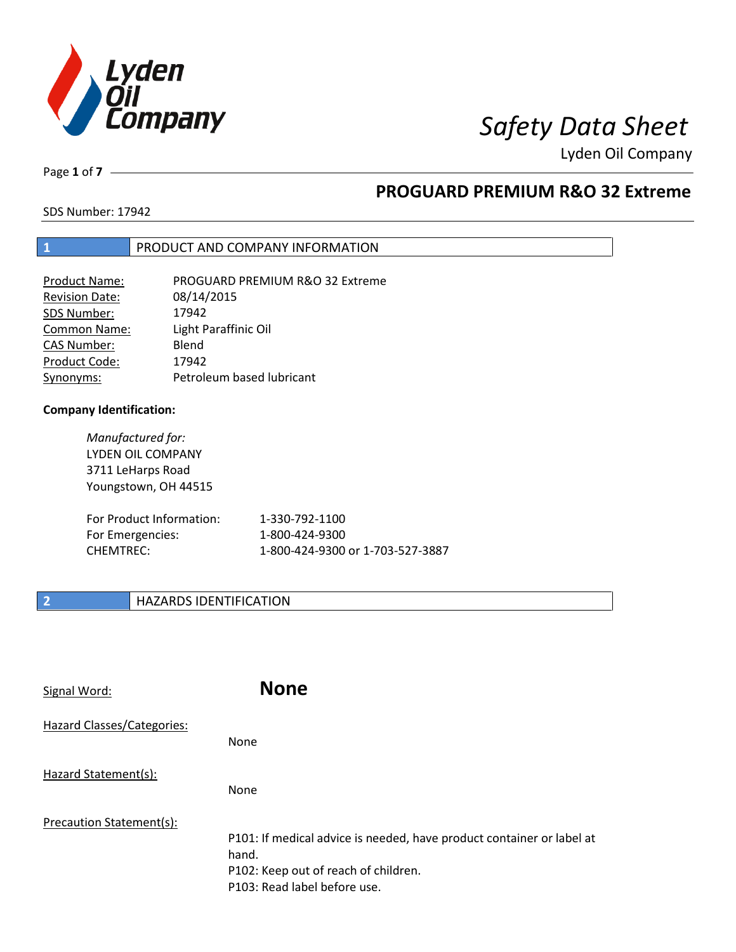

Lyden Oil Company

Page **1** of **7**

### **PROGUARD PREMIUM R&O 32 Extreme**

SDS Number: 17942

#### **1** PRODUCT AND COMPANY INFORMATION

| <b>Product Name:</b> | PROGUARD PREMIUM R&O 32 Extreme |
|----------------------|---------------------------------|
| Revision Date:       | 08/14/2015                      |
| SDS Number:          | 17942                           |
| Common Name:         | Light Paraffinic Oil            |
| <b>CAS Number:</b>   | Blend                           |
| Product Code:        | 17942                           |
| Synonyms:            | Petroleum based lubricant       |

#### **Company Identification:**

*Manufactured for:*  LYDEN OIL COMPANY 3711 LeHarps Road Youngstown, OH 44515

| For Product Information: | 1-330-792-1100                   |
|--------------------------|----------------------------------|
| For Emergencies:         | 1-800-424-9300                   |
| CHEMTREC:                | 1-800-424-9300 or 1-703-527-3887 |

### **2 HAZARDS IDENTIFICATION**

| Signal Word:               | <b>None</b>                                                                                                                                            |
|----------------------------|--------------------------------------------------------------------------------------------------------------------------------------------------------|
| Hazard Classes/Categories: | None                                                                                                                                                   |
| Hazard Statement(s):       | None                                                                                                                                                   |
| Precaution Statement(s):   | P101: If medical advice is needed, have product container or label at<br>hand.<br>P102: Keep out of reach of children.<br>P103: Read label before use. |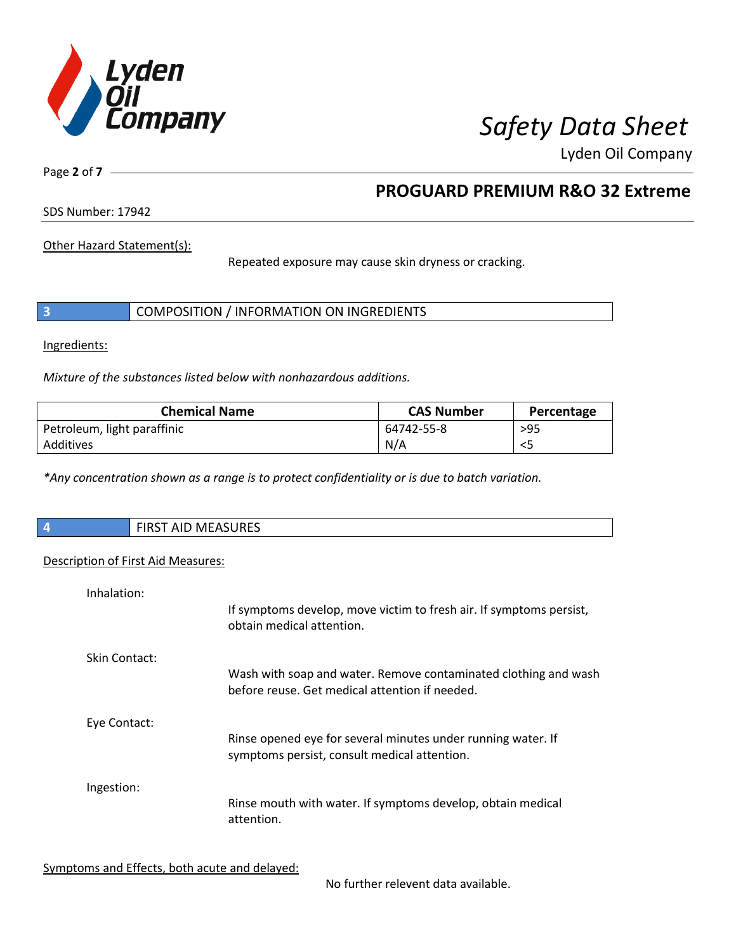

Lyden Oil Company

Page **2** of **7**

### **PROGUARD PREMIUM R&O 32 Extreme**

SDS Number: 17942

Other Hazard Statement(s):

Repeated exposure may cause skin dryness or cracking.

|  | COMPOSITION / INFORMATION ON INGREDIENTS |
|--|------------------------------------------|
|--|------------------------------------------|

Ingredients:

*Mixture of the substances listed below with nonhazardous additions.* 

| <b>Chemical Name</b>        | <b>CAS Number</b> | Percentage |
|-----------------------------|-------------------|------------|
| Petroleum, light paraffinic | 64742-55-8        | >95        |
| Additives                   | N/A               |            |

*\*Any concentration shown as a range is to protect confidentiality or is due to batch variation.*

| $\overline{4}$ | <b>FIRST AID MEASURES</b> |
|----------------|---------------------------|
|                |                           |
|                |                           |

#### Description of First Aid Measures:

| Inhalation:   | If symptoms develop, move victim to fresh air. If symptoms persist,<br>obtain medical attention.                  |
|---------------|-------------------------------------------------------------------------------------------------------------------|
| Skin Contact: | Wash with soap and water. Remove contaminated clothing and wash<br>before reuse. Get medical attention if needed. |
| Eye Contact:  | Rinse opened eye for several minutes under running water. If<br>symptoms persist, consult medical attention.      |
| Ingestion:    | Rinse mouth with water. If symptoms develop, obtain medical<br>attention.                                         |

Symptoms and Effects, both acute and delayed:

No further relevent data available.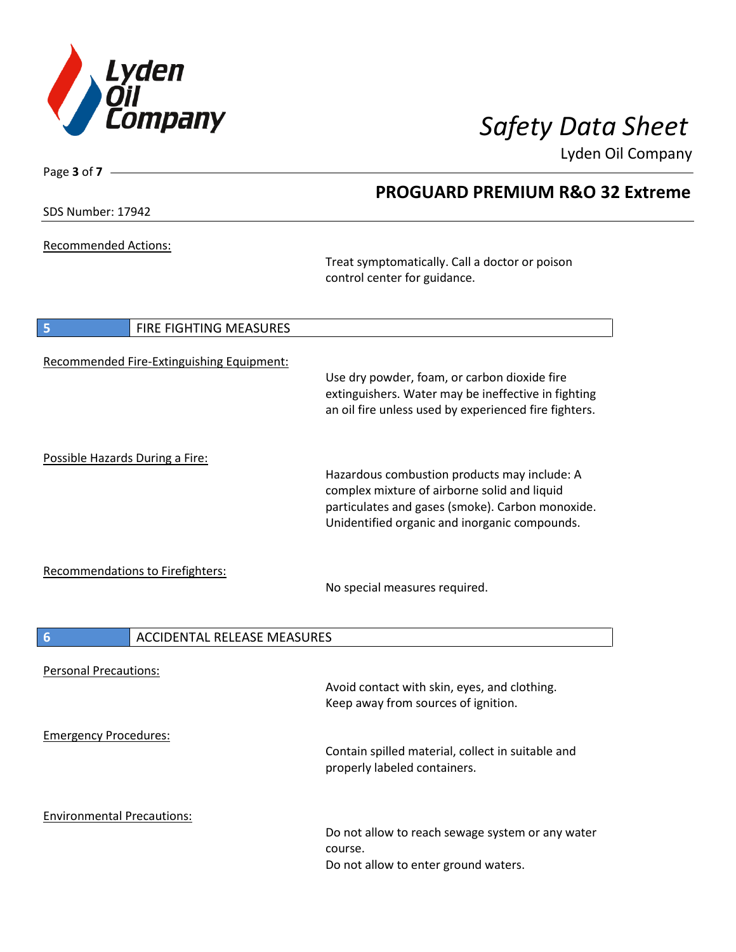

Lyden Oil Company

SDS Number: 17942

Page **3** of **7**

Recommended Actions:

Treat symptomatically. Call a doctor or poison control center for guidance.

| 5<br>FIRE FIGHTING MEASURES               |                                                                                                                                                                                                   |
|-------------------------------------------|---------------------------------------------------------------------------------------------------------------------------------------------------------------------------------------------------|
| Recommended Fire-Extinguishing Equipment: | Use dry powder, foam, or carbon dioxide fire<br>extinguishers. Water may be ineffective in fighting<br>an oil fire unless used by experienced fire fighters.                                      |
| Possible Hazards During a Fire:           | Hazardous combustion products may include: A<br>complex mixture of airborne solid and liquid<br>particulates and gases (smoke). Carbon monoxide.<br>Unidentified organic and inorganic compounds. |
| <b>Recommendations to Firefighters:</b>   | No special measures required.                                                                                                                                                                     |
| 6<br><b>ACCIDENTAL RELEASE MEASURES</b>   |                                                                                                                                                                                                   |
| <b>Personal Precautions:</b>              | Avoid contact with skin, eyes, and clothing.<br>Keep away from sources of ignition.                                                                                                               |
| <b>Emergency Procedures:</b>              | Contain spilled material, collect in suitable and<br>properly labeled containers.                                                                                                                 |
| <b>Environmental Precautions:</b>         | Do not allow to reach sewage system or any water<br>course.                                                                                                                                       |

### **PROGUARD PREMIUM R&O 32 Extreme**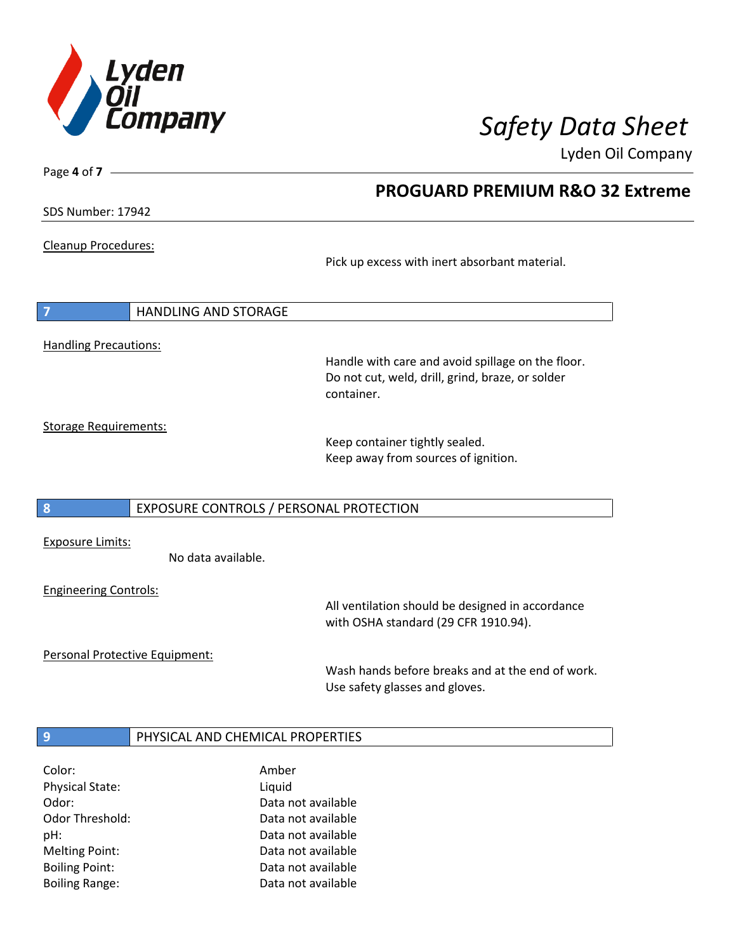

**PROGUARD PREMIUM R&O 32 Extreme**

Lyden Oil Company

SDS Number: 17942

Page **4** of **7**

#### Cleanup Procedures:

Pick up excess with inert absorbant material.

|                              | HANDLING AND STORAGE |                                                   |
|------------------------------|----------------------|---------------------------------------------------|
|                              |                      |                                                   |
| <b>Handling Precautions:</b> |                      | Handle with care and avoid spillage on the floor. |
|                              |                      | Do not cut, weld, drill, grind, braze, or solder  |

container.

Storage Requirements:

Keep container tightly sealed. Keep away from sources of ignition.

#### **8** EXPOSURE CONTROLS / PERSONAL PROTECTION

Exposure Limits:

No data available.

Engineering Controls:

All ventilation should be designed in accordance with OSHA standard (29 CFR 1910.94).

Personal Protective Equipment:

Wash hands before breaks and at the end of work. Use safety glasses and gloves.

#### **9 PHYSICAL AND CHEMICAL PROPERTIES**

| Color:                 | Amber              |
|------------------------|--------------------|
| <b>Physical State:</b> | Liquid             |
| Odor:                  | Data not available |
| Odor Threshold:        | Data not available |
| pH:                    | Data not available |
| <b>Melting Point:</b>  | Data not available |
| <b>Boiling Point:</b>  | Data not available |
| <b>Boiling Range:</b>  | Data not available |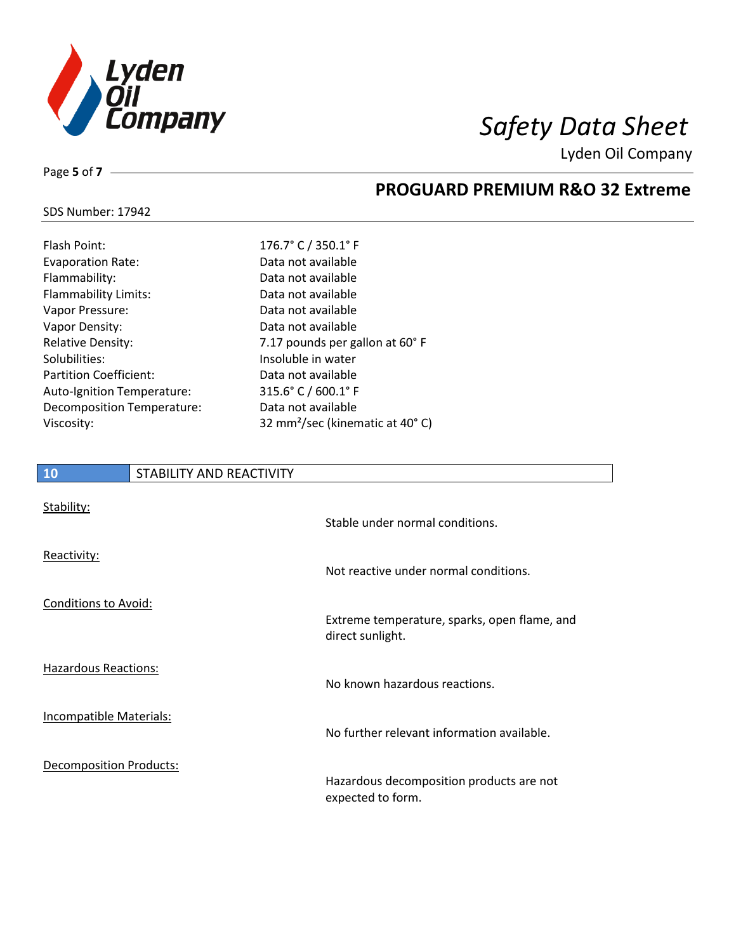

Lyden Oil Company

### Page **5** of **7**

## **PROGUARD PREMIUM R&O 32 Extreme**

#### SDS Number: 17942

| 176.7° C / 350.1° F                         |
|---------------------------------------------|
| Data not available                          |
| Data not available                          |
| Data not available                          |
| Data not available                          |
| Data not available                          |
| 7.17 pounds per gallon at 60° F             |
| Insoluble in water                          |
| Data not available                          |
| 315.6° C / 600.1° F                         |
| Data not available                          |
| 32 mm <sup>2</sup> /sec (kinematic at 40°C) |
|                                             |

| Data not available                          |
|---------------------------------------------|
| Data not available                          |
| Data not available                          |
| Data not available                          |
| Data not available                          |
| 7.17 pounds per gallon at 60°F              |
| Insoluble in water                          |
| Data not available                          |
| 315.6° C / 600.1° F                         |
| Data not available                          |
| 32 mm <sup>2</sup> /sec (kinematic at 40°C) |
|                                             |

| 10                             | STABILITY AND REACTIVITY |                                                                  |
|--------------------------------|--------------------------|------------------------------------------------------------------|
| Stability:                     |                          | Stable under normal conditions.                                  |
| Reactivity:                    |                          | Not reactive under normal conditions.                            |
| <b>Conditions to Avoid:</b>    |                          | Extreme temperature, sparks, open flame, and<br>direct sunlight. |
| <b>Hazardous Reactions:</b>    |                          | No known hazardous reactions.                                    |
| <b>Incompatible Materials:</b> |                          | No further relevant information available.                       |
| <b>Decomposition Products:</b> |                          | Hazardous decomposition products are not<br>expected to form.    |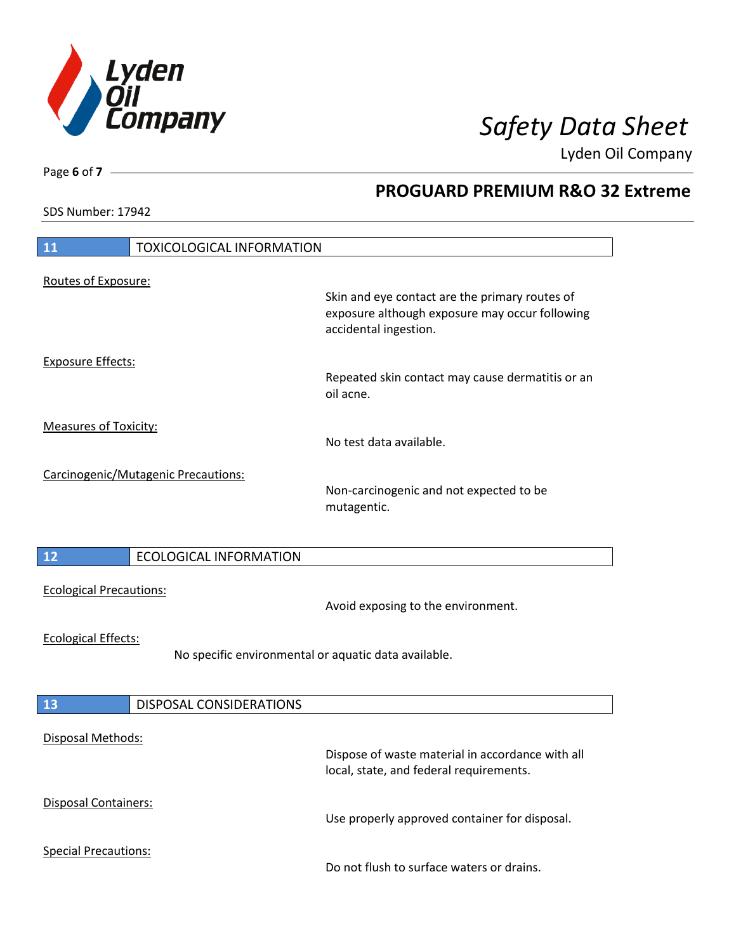

**PROGUARD PREMIUM R&O 32 Extreme**

Lyden Oil Company

SDS Number: 17942

Page **6** of **7**

| 11                             | <b>TOXICOLOGICAL INFORMATION</b>                     |                                                                                                                           |  |  |
|--------------------------------|------------------------------------------------------|---------------------------------------------------------------------------------------------------------------------------|--|--|
|                                |                                                      |                                                                                                                           |  |  |
| Routes of Exposure:            |                                                      | Skin and eye contact are the primary routes of<br>exposure although exposure may occur following<br>accidental ingestion. |  |  |
| <b>Exposure Effects:</b>       |                                                      |                                                                                                                           |  |  |
|                                |                                                      | Repeated skin contact may cause dermatitis or an<br>oil acne.                                                             |  |  |
| <b>Measures of Toxicity:</b>   |                                                      | No test data available.                                                                                                   |  |  |
|                                |                                                      |                                                                                                                           |  |  |
|                                | Carcinogenic/Mutagenic Precautions:                  | Non-carcinogenic and not expected to be<br>mutagentic.                                                                    |  |  |
|                                |                                                      |                                                                                                                           |  |  |
| 12                             | <b>ECOLOGICAL INFORMATION</b>                        |                                                                                                                           |  |  |
| <b>Ecological Precautions:</b> |                                                      | Avoid exposing to the environment.                                                                                        |  |  |
| <b>Ecological Effects:</b>     | No specific environmental or aquatic data available. |                                                                                                                           |  |  |
|                                |                                                      |                                                                                                                           |  |  |
| 13                             | DISPOSAL CONSIDERATIONS                              |                                                                                                                           |  |  |
|                                |                                                      |                                                                                                                           |  |  |
| Disposal Methods:              |                                                      |                                                                                                                           |  |  |
|                                |                                                      | Dispose of waste material in accordance with all<br>local, state, and federal requirements.                               |  |  |
| Disposal Containers:           |                                                      | Use properly approved container for disposal.                                                                             |  |  |
|                                |                                                      |                                                                                                                           |  |  |
| <b>Special Precautions:</b>    |                                                      | Do not flush to surface waters or drains.                                                                                 |  |  |